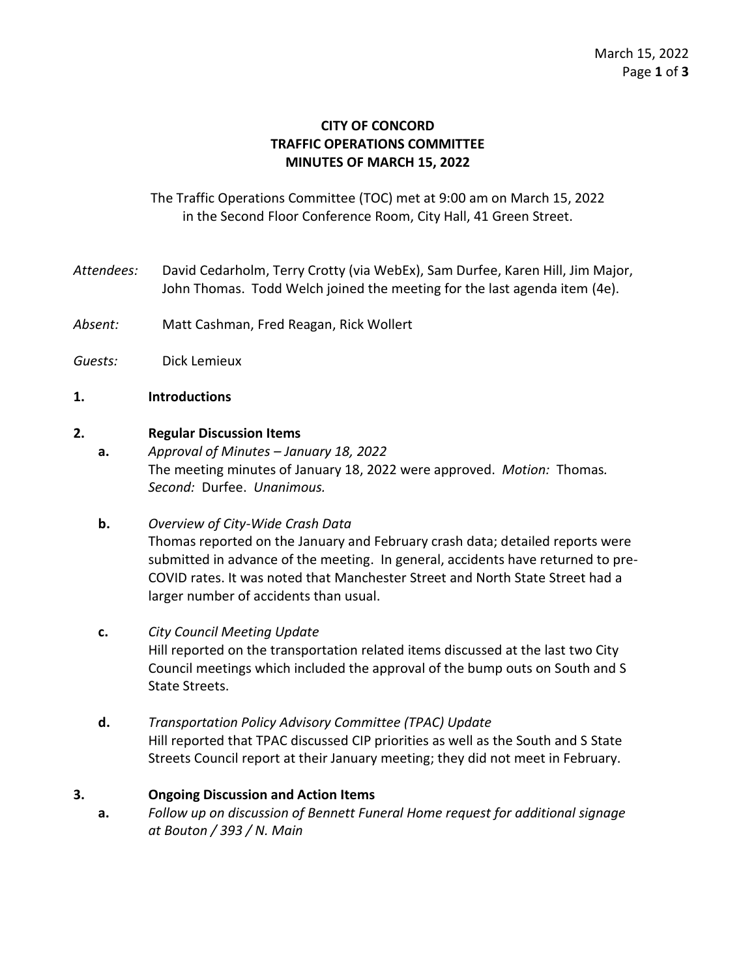## **CITY OF CONCORD TRAFFIC OPERATIONS COMMITTEE MINUTES OF MARCH 15, 2022**

The Traffic Operations Committee (TOC) met at 9:00 am on March 15, 2022 in the Second Floor Conference Room, City Hall, 41 Green Street.

- *Attendees:* David Cedarholm, Terry Crotty (via WebEx), Sam Durfee, Karen Hill, Jim Major, John Thomas. Todd Welch joined the meeting for the last agenda item (4e).
- *Absent:* Matt Cashman, Fred Reagan, Rick Wollert
- *Guests:* Dick Lemieux
- **1. Introductions**

#### **2. Regular Discussion Items**

- **a.** *Approval of Minutes – January 18, 2022* The meeting minutes of January 18, 2022 were approved. *Motion:* Thomas*. Second:* Durfee. *Unanimous.*
- **b.** *Overview of City-Wide Crash Data* Thomas reported on the January and February crash data; detailed reports were submitted in advance of the meeting. In general, accidents have returned to pre-COVID rates. It was noted that Manchester Street and North State Street had a larger number of accidents than usual.
- **c.** *City Council Meeting Update* Hill reported on the transportation related items discussed at the last two City Council meetings which included the approval of the bump outs on South and S State Streets.
- **d.** *Transportation Policy Advisory Committee (TPAC) Update* Hill reported that TPAC discussed CIP priorities as well as the South and S State Streets Council report at their January meeting; they did not meet in February.

### **3. Ongoing Discussion and Action Items**

**a.** *Follow up on discussion of Bennett Funeral Home request for additional signage at Bouton / 393 / N. Main*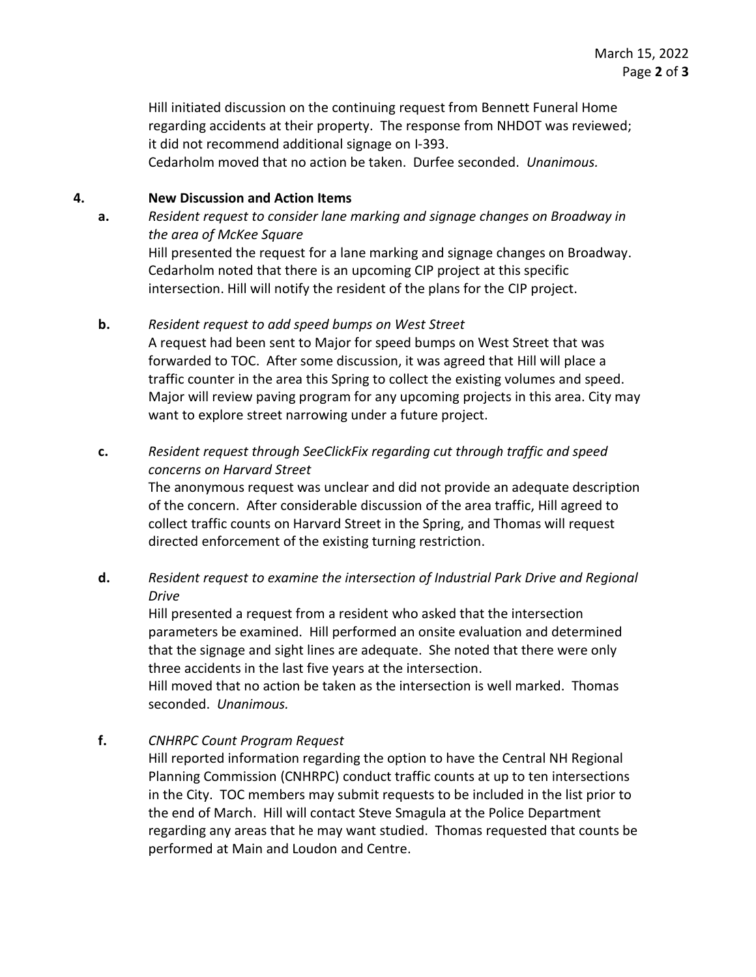Hill initiated discussion on the continuing request from Bennett Funeral Home regarding accidents at their property. The response from NHDOT was reviewed; it did not recommend additional signage on I-393.

Cedarholm moved that no action be taken. Durfee seconded. *Unanimous.*

### **4. New Discussion and Action Items**

**a.** *Resident request to consider lane marking and signage changes on Broadway in the area of McKee Square*

Hill presented the request for a lane marking and signage changes on Broadway. Cedarholm noted that there is an upcoming CIP project at this specific intersection. Hill will notify the resident of the plans for the CIP project.

#### **b.** *Resident request to add speed bumps on West Street*

A request had been sent to Major for speed bumps on West Street that was forwarded to TOC. After some discussion, it was agreed that Hill will place a traffic counter in the area this Spring to collect the existing volumes and speed. Major will review paving program for any upcoming projects in this area. City may want to explore street narrowing under a future project.

# **c.** *Resident request through SeeClickFix regarding cut through traffic and speed concerns on Harvard Street*

The anonymous request was unclear and did not provide an adequate description of the concern. After considerable discussion of the area traffic, Hill agreed to collect traffic counts on Harvard Street in the Spring, and Thomas will request directed enforcement of the existing turning restriction.

## **d.** *Resident request to examine the intersection of Industrial Park Drive and Regional Drive*

Hill presented a request from a resident who asked that the intersection parameters be examined. Hill performed an onsite evaluation and determined that the signage and sight lines are adequate. She noted that there were only three accidents in the last five years at the intersection.

Hill moved that no action be taken as the intersection is well marked. Thomas seconded. *Unanimous.*

### **f.** *CNHRPC Count Program Request*

Hill reported information regarding the option to have the Central NH Regional Planning Commission (CNHRPC) conduct traffic counts at up to ten intersections in the City. TOC members may submit requests to be included in the list prior to the end of March. Hill will contact Steve Smagula at the Police Department regarding any areas that he may want studied. Thomas requested that counts be performed at Main and Loudon and Centre.